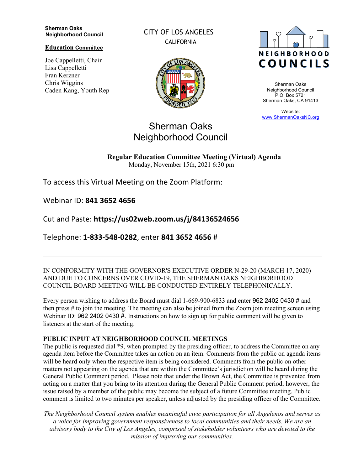#### **Sherman Oaks Neighborhood Council**

**Education Committee**

Joe Cappelletti, Chair Lisa Cappelletti Fran Kerzner Chris Wiggins Caden Kang, Youth Rep CITY OF LOS ANGELES CALIFORNIA





Sherman Oaks Neighborhood Council P.O. Box 5721 Sherman Oaks, CA 91413

Website: www.ShermanOaksNC.org

# Sherman Oaks Neighborhood Council

**Regular Education Committee Meeting (Virtual) Agenda**  Monday, November 15th, 2021 6:30 pm

To access this Virtual Meeting on the Zoom Platform:

Webinar ID: **841 3652 4656** 

Cut and Paste: **https://us02web.zoom.us/j/84136524656** 

Telephone: **1-833-548-0282**, enter **841 3652 4656** #

IN CONFORMITY WITH THE GOVERNOR'S EXECUTIVE ORDER N-29-20 (MARCH 17, 2020) AND DUE TO CONCERNS OVER COVID-19, THE SHERMAN OAKS NEIGHBORHOOD COUNCIL BOARD MEETING WILL BE CONDUCTED ENTIRELY TELEPHONICALLY.

Every person wishing to address the Board must dial 1-669-900-6833 and enter 962 2402 0430 # and then press # to join the meeting. The meeting can also be joined from the Zoom join meeting screen using Webinar ID: 962 2402 0430 #. Instructions on how to sign up for public comment will be given to listeners at the start of the meeting.

### **PUBLIC INPUT AT NEIGHBORHOOD COUNCIL MEETINGS**

The public is requested dial \*9, when prompted by the presiding officer, to address the Committee on any agenda item before the Committee takes an action on an item. Comments from the public on agenda items will be heard only when the respective item is being considered. Comments from the public on other matters not appearing on the agenda that are within the Committee's jurisdiction will be heard during the General Public Comment period. Please note that under the Brown Act, the Committee is prevented from acting on a matter that you bring to its attention during the General Public Comment period; however, the issue raised by a member of the public may become the subject of a future Committee meeting. Public comment is limited to two minutes per speaker, unless adjusted by the presiding officer of the Committee.

*The Neighborhood Council system enables meaningful civic participation for all Angelenos and serves as a voice for improving government responsiveness to local communities and their needs. We are an advisory body to the City of Los Angeles, comprised of stakeholder volunteers who are devoted to the mission of improving our communities.*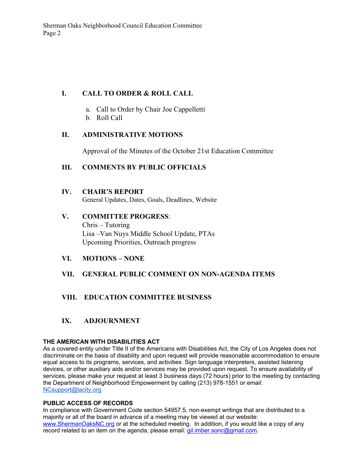### **I. CALL TO ORDER & ROLL CALL**

- a. Call to Order by Chair Joe Cappelletti
- b. Roll Call

### **II. ADMINISTRATIVE MOTIONS**

Approval of the Minutes of the October 21st Education Committee

### **III. COMMENTS BY PUBLIC OFFICIALS**

#### **IV. CHAIR'S REPORT**

General Updates, Dates, Goals, Deadlines, Website

# **V. COMMITTEE PROGRESS**:

Chris – Tutoring Lisa –Van Nuys Middle School Update, PTAs Upcoming Priorities, Outreach progress

### **VI. MOTIONS – NONE**

### **VII. GENERAL PUBLIC COMMENT ON NON-AGENDA ITEMS**

## **VIII. EDUCATION COMMITTEE BUSINESS**

## **IX. ADJOURNMENT**

#### **THE AMERICAN WITH DISABILITIES ACT**

As a covered entity under Title II of the Americans with Disabilities Act, the City of Los Angeles does not discriminate on the basis of disability and upon request will provide reasonable accommodation to ensure equal access to its programs, services, and activities. Sign language interpreters, assisted listening devices, or other auxiliary aids and/or services may be provided upon request. To ensure availability of services, please make your request at least 3 business days (72 hours) prior to the meeting by contacting the Department of Neighborhood Empowerment by calling (213) 978-1551 or email: NCsupport@lacity.org

#### **PUBLIC ACCESS OF RECORDS**

In compliance with Government Code section 54957.5, non-exempt writings that are distributed to a majority or all of the board in advance of a meeting may be viewed at our website: www.ShermanOaksNC.org or at the scheduled meeting. In addition, if you would like a copy of any record related to an item on the agenda, please email: gil.imber.sonc@gmail.com.